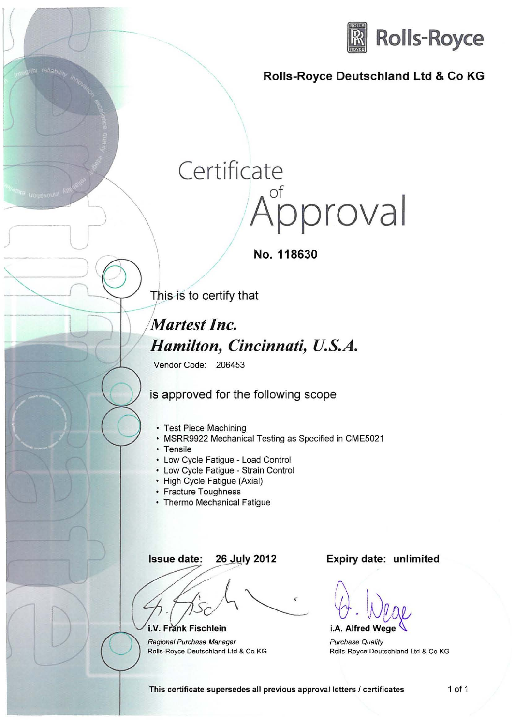

## Rolls-Royce Deutschland Ltd & Co KG

## Certificate pproval

 $\sim$  No. 118630

This is to certify that

/

 $\overline{\phantom{a}}$ 

I )

## This is to certify<br>Martest Inc. *Hamilton, Cincinnati,* U.S.A.

Vendor Code: 206453

is approved for the following scope

- Test Piece Machining
- MSRR9922 Mechanical Testing as Specified in CME5021
- Tensile
- Low Cycle Fatigue Load Control
- Low Cycle Fatigue Strain Control
- High Cycle Fatigue (Axial)
- Fracture Toughness
- Thermo Mechanical Fatigue

Issue date: 26 July 2012

i.V. Frank Fischlein

)

Regional Purchase Manager Rolls-Royce Deutschland Ltd & Co KG Expiry date: unlimited

 $\omega$ . Wege i.A. Alfred Wege

Purchase Quality Rolls-Royce Deutschland Ltd & Co KG

This certificate supersedes all previous approval letters / certificates 1 of 1